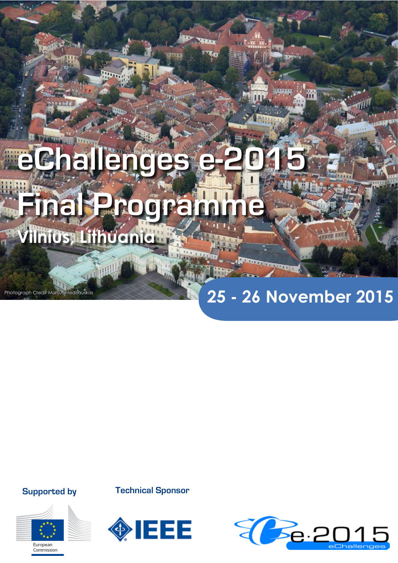# **eChallenges Final Programme Vilnius, Lithuania**

# **25 - 26 November 2015**

**Supported by**

Photograph Credit Marijus Medišauskas



**Technical Sponsor**



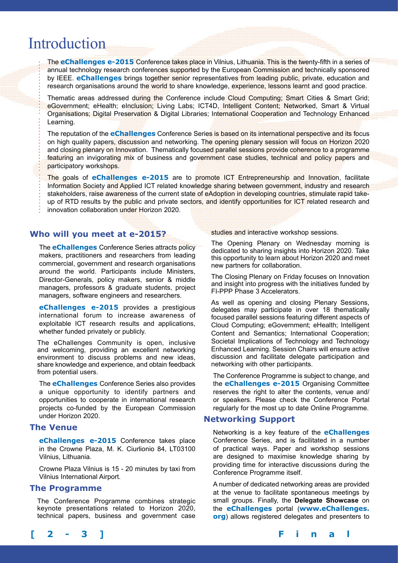# Introduction

The **eChallenges e-2015** Conference takes place in Vilnius, Lithuania. This is the twenty-fifth in a series of annual technology research conferences supported by the European Commission and technically sponsored by IEEE. **eChallenges** brings together senior representatives from leading public, private, education and research organisations around the world to share knowledge, experience, lessons learnt and good practice.

Thematic areas addressed during the Conference include Cloud Computing; Smart Cities & Smart Grid; eGovernment; eHealth; eInclusion; Living Labs; ICT4D, Intelligent Content; Networked, Smart & Virtual Organisations; Digital Preservation & Digital Libraries; International Cooperation and Technology Enhanced Learning.

The reputation of the **eChallenges** Conference Series is based on its international perspective and its focus on high quality papers, discussion and networking. The opening plenary session will focus on Horizon 2020 and closing plenary on Innovation. Thematically focused parallel sessions provide coherence to a programme featuring an invigorating mix of business and government case studies, technical and policy papers and participatory workshops.

The goals of **eChallenges e-2015** are to promote ICT Entrepreneurship and Innovation, facilitate Information Society and Applied ICT related knowledge sharing between government, industry and research stakeholders, raise awareness of the current state of eAdoption in developing countries, stimulate rapid takeup of RTD results by the public and private sectors, and identify opportunities for ICT related research and innovation collaboration under Horizon 2020.

# **Who will you meet at e-2015?**

The **eChallenges** Conference Series attracts policy makers, practitioners and researchers from leading commercial, government and research organisations around the world. Participants include Ministers, Director-Generals, policy makers, senior & middle managers, professors & graduate students, project managers, software engineers and researchers.

**eChallenges e-2015** provides a prestigious international forum to increase awareness of exploitable ICT research results and applications, whether funded privately or publicly.

The eChallenges Community is open, inclusive and welcoming, providing an excellent networking environment to discuss problems and new ideas, share knowledge and experience, and obtain feedback from potential users.

The **eChallenges** Conference Series also provides a unique opportunity to identify partners and opportunities to cooperate in international research projects co-funded by the European Commission under Horizon 2020.

# **The Venue**

**eChallenges e-2015** Conference takes place in the Crowne Plaza, M. K. Ciurlionio 84, LT03100 Vilnius, Lithuania.

Crowne Plaza Vilnius is 15 - 20 minutes by taxi from Vilnius International Airport.

#### **The Programme**

The Conference Programme combines strategic keynote presentations related to Horizon 2020, technical papers, business and government case

studies and interactive workshop sessions.

The Opening Plenary on Wednesday morning is dedicated to sharing insights into Horizon 2020. Take this opportunity to learn about Horizon 2020 and meet new partners for collaboration.

The Closing Plenary on Friday focuses on Innovation and insight into progress with the initiatives funded by FI-PPP Phase 3 Accelerators.

As well as opening and closing Plenary Sessions, delegates may participate in over 18 thematically focused parallel sessions featuring different aspects of Cloud Computing; eGovernment; eHealth; Intelligent Content and Semantics; International Cooperation; Societal Implications of Technology and Technology Enhanced Learning. Session Chairs will ensure active discussion and facilitate delegate participation and networking with other participants.

The Conference Programme is subject to change, and the **eChallenges e-2015** Organising Committee reserves the right to alter the contents, venue and/ or speakers. Please check the Conference Portal regularly for the most up to date Online Programme.

# **Networking Support**

Networking is a key feature of the **eChallenges** Conference Series, and is facilitated in a number of practical ways. Paper and workshop sessions are designed to maximise knowledge sharing by providing time for interactive discussions during the Conference Programme itself.

A number of dedicated networking areas are provided at the venue to facilitate spontaneous meetings by small groups. Finally, the **Delegate Showcase** on the **eChallenges** portal (**www.eChallenges. org**) allows registered delegates and presenters to

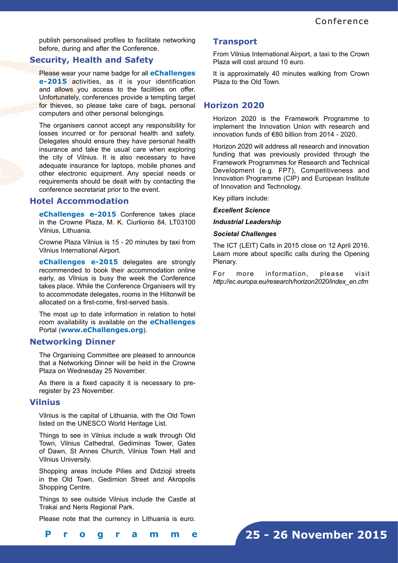publish personalised profiles to facilitate networking before, during and after the Conference.

# **Security, Health and Safety**

Please wear your name badge for all **eChallenges e-2015** activities, as it is your identification and allows you access to the facilities on offer. Unfortunately, conferences provide a tempting target for thieves, so please take care of bags, personal computers and other personal belongings.

The organisers cannot accept any responsibility for losses incurred or for personal health and safety. Delegates should ensure they have personal health insurance and take the usual care when exploring the city of Vilnius. It is also necessary to have adequate insurance for laptops, mobile phones and other electronic equipment. Any special needs or requirements should be dealt with by contacting the conference secretariat prior to the event.

# **Hotel Accommodation**

**eChallenges e-2015** Conference takes place in the Crowne Plaza, M. K. Ciurlionio 84, LT03100 Vilnius, Lithuania.

Crowne Plaza Vilnius is 15 - 20 minutes by taxi from Vilnius International Airport.

**eChallenges e-2015** delegates are strongly recommended to book their accommodation online early, as Vilnius is busy the week the Conference takes place. While the Conference Organisers will try to accommodate delegates, rooms in the Hiltonwill be allocated on a first-come, first-served basis.

The most up to date information in relation to hotel room availability is available on the **eChallenges** Portal (**www.eChallenges.org**).

# **Networking Dinner**

The Organising Committee are pleased to announce that a Networking Dinner will be held in the Crowne Plaza on Wednesday 25 November.

As there is a fixed capacity it is necessary to preregister by 23 November.

# **Vilnius**

Vilnius is the capital of Lithuania, with the Old Town listed on the UNESCO World Heritage List.

Things to see in Vilnius include a walk through Old Town, Vilnius Cathedral, Gediminas Tower, Gates of Dawn, St Annes Church, Vilnius Town Hall and Vilnius University.

Shopping areas include Pilies and Didzioji streets in the Old Town, Gedimion Street and Akropolis Shopping Centre.

Things to see outside Vilnius include the Castle at Trakai and Neris Regional Park.

Please note that the currency in Lithuania is euro.

#### **Transport**

From Vilnius International Airport, a taxi to the Crown Plaza will cost around 10 euro.

It is approximately 40 minutes walking from Crown Plaza to the Old Town.

# **Horizon 2020**

Horizon 2020 is the Framework Programme to implement the Innovation Union with research and innovation funds of €80 billion from 2014 - 2020.

Horizon 2020 will address all research and innovation funding that was previously provided through the Framework Programmes for Research and Technical Development (e.g. FP7), Competitiveness and Innovation Programme (CIP) and European Institute of Innovation and Technology.

Key pillars include:

*Excellent Science*

### *Industrial Leadership*

#### *Societal Challenges*

The ICT (LEIT) Calls in 2015 close on 12 April 2016. Learn more about specific calls during the Opening Plenary.

For more information, please visit *http://ec.europa.eu/research/horizon2020/index\_en.cfm*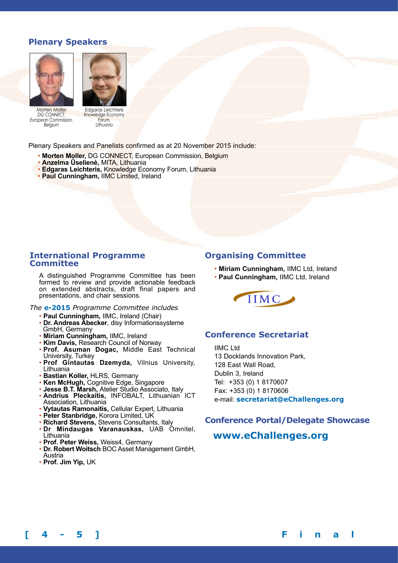# **Plenary Speakers**





Morten Moller *DG CONNECT, European Commission, Belgium*

Edgaras Leichteris *Knowledge Economy Forum, Lithuania*

Plenary Speakers and Panelists confirmed as at 20 November 2015 include:

- **Morten Moller,** DG CONNECT, European Commission, Belgium
- **Anzelma Ūselienė,** MITA, Lithuania
- **Edgaras Leichteris,** Knowledge Economy Forum, Lithuania
- **Paul Cunningham,** IIMC Limited, Ireland

#### **International Programme Committee**

A distinguished Programme Committee has been formed to review and provide actionable feedback on extended abstracts, draft final papers and presentations, and chair sessions.

*The* **e-2015** *Programme Committee includes*

- **Paul Cunningham,** IIMC, Ireland (Chair)
- **Dr. Andreas Abecker**, disy Informationssysteme GmbH, Germany
- **Miriam Cunningham,** IIMC, Ireland
- **Kim Davis,** Research Council of Norway
- **Prof. Asuman Dogac,** Middle East Technical University, Turkey
- **Prof Gintautas Dzemyda,** Vilnius University, Lithuania
- **Bastian Koller,** HLRS, Germany
- **Ken McHugh,** Cognitive Edge, Singapore
- **Jesse B.T. Marsh,** Atelier Studio Associato, Italy
- **Andrius Pleckaitis,** INFOBALT, Lithuanian ICT Association, Lithuania
- **Vytautas Ramonaitis,** Cellular Expert, Lithuania
- **Peter Stanbridge,** Korora Limited, UK
- **Richard Stevens,** Stevens Consultants, Italy
- **Dr Mindaugas Varanauskas,** UAB Omnitel, Lithuania
- **Prof. Peter Weiss,** Weiss4, Germany
- **Dr. Robert Woitsch** BOC Asset Management GmbH, Austria
- **Prof. Jim Yip,** UK

# **Organising Committee**

- **Miriam Cunningham,** IIMC Ltd, Ireland
- **Paul Cunningham,** IIMC Ltd, Ireland



# **Conference Secretariat**

IIMC Ltd 13 Docklands Innovation Park, 128 East Wall Road, Dublin 3, Ireland Tel: +353 (0) 1 8170607 Fax: +353 (0) 1 8170606 e-mail: **secretariat@eChallenges.org**

# **Conference Portal/Delegate Showcase**

# **www.eChallenges.org**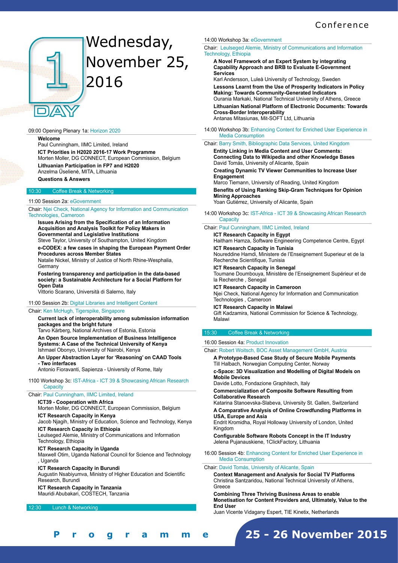# **Conference**



# Wednesday, November 25, 2016

#### 09:00 Opening Plenary 1a: Horizon 2020

**Welcome**

Paul Cunningham, IIMC Limited, Ireland **ICT Priorities in H2020 2016-17 Work Programme**  Morten Moller, DG CONNECT, European Commission, Belgium **Lithuanian Participation in FP7 and H2020**  Anzelma Ūselienė, MITA, Lithuania **Questions & Answers**

#### **Coffee Break & Networking**

#### 11:00 Session 2a: eGovernment

Chair: Njei Check, National Agency for Information and Communication Technologies, Cameroon

**Issues Arising from the Specification of an Information Acquisition and Analysis Toolkit for Policy Makers in Governmental and Legislative Institutions**  Steve Taylor, University of Southampton, United Kingdom

**e-CODEX: a few cases in shaping the European Payment Order** 

**Procedures across Member States**  Natalie Nickel, Ministry of Justice of North Rhine-Wesphalia,

**Germany Fostering transparency and participation in the data-based** 

**society: a Sustainable Architecture for a Social Platform for Open Data** 

Vittorio Scarano, Università di Salerno, Italy

#### 11:00 Session 2b: Digital Libraries and Intelligent Content

#### Chair: Ken McHugh, Tigerspike, Singapore

**Current lack of interoperability among submission information packages and the bright future**  Tarvo Kärberg, National Archives of Estonia, Estonia **An Open Source Implementation of Business Intelligence** 

**Systems: A Case of the Technical University of Kenya**  Ishmael Obonyo, University of Nairobi, Kenya

**An Upper Abstraction Layer for 'Reasoning' on CAAD Tools - Two interfaces** 

Antonio Fioravanti, Sapienza - University of Rome, Italy

1100 Workshop 3c: IST-Africa - ICT 39 & Showcasing African Research **Capacity** 

#### Chair: Paul Cunningham, IIMC Limited, Ireland

**ICT39 - Cooperation with Africa** 

Morten Moller, DG CONNECT, European Commission, Belgium

**ICT Research Capacity in Kenya**  Jacob Njagih, Ministry of Education, Science and Technology, Kenya **ICT Research Capacity in Ethiopia** 

Leulseged Alemie, Ministry of Communications and Information Technology, Ethiopia

**ICT Research Capacity in Uganda** 

Maxwell Otim, Uganda National Council for Science and Technology , Uganda

**ICT Research Capacity in Burundi**  Augustin Nsabiyumva, Ministry of Higher Education and Scientific Research, Burundi

#### **ICT Research Capacity in Tanzania**

Mauridi Abubakari, COSTECH, Tanzania

12:30 Lunch & Networking

#### 14:00 Workshop 3a: eGovernment

Chair: Leulseged Alemie, Ministry of Communications and Information Technology, Ethiopia

**A Novel Framework of an Expert System by integrating Capability Approach and BRB to Evaluate E-Government Services** 

Karl Andersson, Luleå University of Technology, Sweden **Lessons Learnt from the Use of Prosperity Indicators in Policy Making: Towards Community-Generated Indicators**  Ourania Markaki, National Technical University of Athens, Greece **Lithuanian National Platform of Electronic Documents: Towards Cross-Border Interoperability**  Antanas Mitasiunas, Mit-SOFT Ltd, Lithuania

14:00 Workshop 3b: Enhancing Content for Enriched User Experience in Media Consumption

### Chair: Barry Smith, Bibliographic Data Services, United Kingdom

**Entity Linking in Media Content and User Comments: Connecting Data to Wikipedia and other Knowledge Bases**  David Tomás, University of Alicante, Spain

**Creating Dynamic TV Viewer Communities to Increase User Engagement** 

Marco Tiemann, University of Reading, United Kingdom **Benefits of Using Ranking Skip-Gram Techniques for Opinion Mining Approaches**  Yoan Gutiérrez, University of Alicante, Spain

14:00 Workshop 3c: IST-Africa - ICT 39 & Showcasing African Research **Capacity** 

#### Chair: Paul Cunningham, IIMC Limited, Ireland

**ICT Research Capacity in Egypt**  Haitham Hamza, Software Engineering Competence Centre, Egypt **ICT Research Capacity in Tunisia** 

Noureddine Hamdi, Ministere de l'Enseignement Superieur et de la Recherche Scientifique, Tunisia

**ICT Research Capacity in Senegal**  Toumane Doumbouya, Ministère de l'Enseignement Supérieur et de la Recherche , Senegal

**ICT Research Capacity in Cameroon**  Njei Check, National Agency for Information and Communication Technologies , Cameroon

**ICT Research Capacity in Malawi**  Gift Kadzamira, National Commission for Science & Technology, Malawi

#### 15:30 Coffee Break & Networking

#### 16:00 Session 4a: Product Innovation

Chair: Robert Woitsch, BOC Asset Management GmbH, Austria

**A Prototype-Based Case Study of Secure Mobile Payments**  Till Halbach, Norwegian Computing Center, Norway

**c-Space: 3D Visualization and Modelling of Digital Models on Mobile Devices** 

Davide Lotto, Fondazione Graphitech, Italy

**Commercialization of Composite Software Resulting from Collaborative Research** 

Katarina Stanoevska-Slabeva, University St. Gallen, Switzerland **A Comparative Analysis of Online Crowdfunding Platforms in USA, Europe and Asia** 

Endrit Kromidha, Royal Holloway University of London, United Kingdom

**Configurable Software Robots Concept in the IT Industry**  Jelena Pujanauskiene, 1ClickFactory, Lithuania

16:00 Session 4b: Enhancing Content for Enriched User Experience in Media Consumption

Chair: David Tomás, University of Alicante, Spain

**Context Management and Analysis for Social TV Platforms**  Christina Santzaridou, National Technical University of Athens, **Greece** 

**Combining Three Thriving Business Areas to enable Monetisation for Content Providers and, Ultimately, Value to the End User** 

Juan Vicente Vidagany Espert, TIE Kinetix, Netherlands

# **25 - 26 November 2015**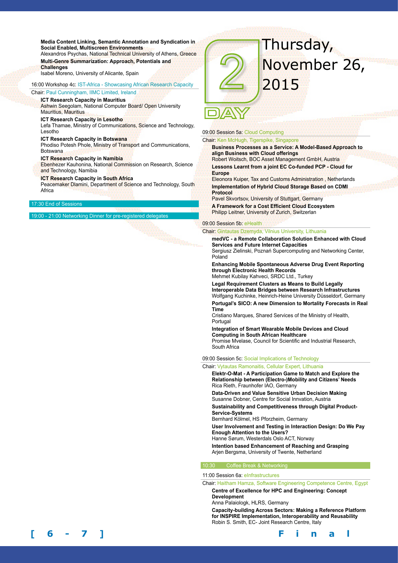**Media Content Linking, Semantic Annotation and Syndication in Social Enabled, Multiscreen Environments**  Alexandros Psychas, National Technical University of Athens, Greece **Multi-Genre Summarization: Approach, Potentials and** 

**Challenges**  Isabel Moreno, University of Alicante, Spain

16:00 Workshop 4c: IST-Africa - Showcasing African Research Capacity

Chair: Paul Cunningham, IIMC Limited, Ireland

**ICT Research Capacity in Mauritius**  Ashwin Seegolam, National Computer Board/ Open University Mauritius, Mauritius

#### **ICT Research Capacity in Lesotho**

Lefa Thamae, Ministry of Communications, Science and Technology, Lesotho

**ICT Research Capacity in Botswana** 

Phodiso Potesh Phole, Ministry of Transport and Communications, Botswana

#### **ICT Research Capacity in Namibia**

Ebenhezer Kauhonina, National Commission on Research, Science and Technology, Namibia

**ICT Research Capacity in South Africa** 

Peacemaker Dlamini, Department of Science and Technology, South **Africa** 

#### 7:30 End of Ses

19:00 - 21:00 Networking Dinner for pre-registered delegates



# 09:00 Session 5a: Cloud Computing

Chair: Ken McHugh, Tigerspike, Singapore

**Business Processes as a Service: A Model-Based Approach to align Business with Cloud offerings** 

Robert Woitsch, BOC Asset Management GmbH, Austria **Lessons Learnt from a joint EC Co-funded PCP - Cloud for Europe** 

Eleonora Kuiper, Tax and Customs Administration , Netherlands **Implementation of Hybrid Cloud Storage Based on CDMI Protocol** 

Pavel Skvortsov, University of Stuttgart, Germany

**A Framework for a Cost Efficient Cloud Ecosystem**  Philipp Leitner, University of Zurich, Switzerlan

#### 09:00 Session 5b: eHealth

Chair: Gintautas Dzemyda, Vilnius University, Lithuania

**medVC - a Remote Collaboration Solution Enhanced with Cloud Services and Future Internet Capacities**  Sergiusz Zielinski, Poznań Supercomputing and Networking Center,

Poland

**Enhancing Mobile Spontaneous Adverse Drug Event Reporting through Electronic Health Records** 

Mehmet Kubilay Kahveci, SRDC Ltd., Turkey

**Legal Requirement Clusters as Means to Build Legally Interoperable Data Bridges between Research Infrastructures**  Wolfgang Kuchinke, Heinrich-Heine University Düsseldorf, Germany

**Portugal's SICO: A new Dimension to Mortality Forecasts in Real Time** 

Cristiano Marques, Shared Services of the Ministry of Health, Portugal

**Integration of Smart Wearable Mobile Devices and Cloud Computing in South African Healthcare**  Promise Mvelase, Council for Scientific and Industrial Research, South Africa

09:00 Session 5c: Social Implications of Technology

Chair: Vytautas Ramonaitis, Cellular Expert, Lithuania

**Elektr-O-Mat - A Participation Game to Match and Explore the Relationship between (Electro-)Mobility and Citizens' Needs**  Rica Rieth, Fraunhofer IAO, Germany

**Data-Driven and Value Sensitive Urban Decision Making**  Susanne Dobner, Centre for Social Innvation, Austria

**Sustainability and Competitiveness through Digital Product-Service-Systems** 

Bernhard Kölmel, HS Pforzheim, Germany

**User Involvement and Testing in Interaction Design: Do We Pay Enough Attention to the Users?** 

Hanne Sørum, Westerdals Oslo ACT, Norway

**Intention based Enhancement of Reaching and Grasping**  Arjen Bergsma, University of Twente, Netherland

#### **Coffee Break & Network**

11:00 Session 6a: eInfrastructures

Chair: Haitham Hamza, Software Engineering Competence Centre, Egypt **Centre of Excellence for HPC and Engineering: Concept** 

**Development** 

Anna Palaiologk, HLRS, Germany

**Capacity-building Across Sectors: Making a Reference Platform for INSPIRE Implementation, Interoperability and Reusability**  Robin S. Smith, EC- Joint Research Centre, Italy